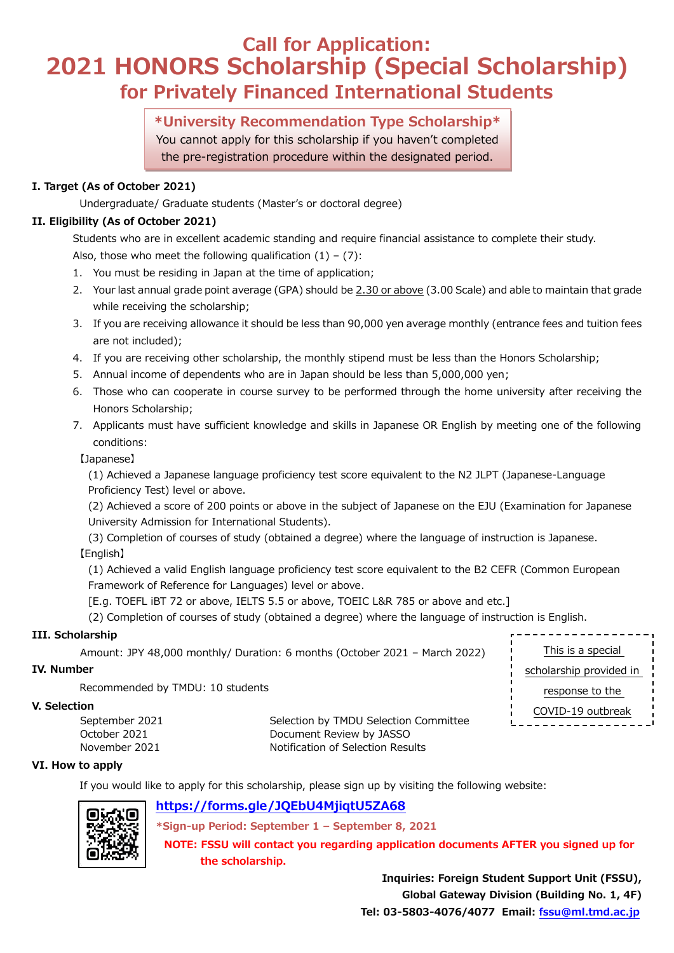## **Call for Application: 2021 HONORS Scholarship (Special Scholarship) for Privately Financed International Students**

### **\*University Recommendation Type Scholarship\***

You cannot apply for this scholarship if you haven't completed the pre-registration procedure within the designated period.

### **I. Target (As of October 2021)**

Undergraduate/ Graduate students (Master's or doctoral degree)

### **II. Eligibility (As of October 2021)**

Students who are in excellent academic standing and require financial assistance to complete their study. Also, those who meet the following qualification  $(1) - (7)$ :

- 1. You must be residing in Japan at the time of application;
- 2. Your last annual grade point average (GPA) should be 2.30 or above (3.00 Scale) and able to maintain that grade while receiving the scholarship;
- 3. If you are receiving allowance it should be less than 90,000 yen average monthly (entrance fees and tuition fees are not included);
- 4. If you are receiving other scholarship, the monthly stipend must be less than the Honors Scholarship;
- 5. Annual income of dependents who are in Japan should be less than 5,000,000 yen;
- 6. Those who can cooperate in course survey to be performed through the home university after receiving the Honors Scholarship;
- 7. Applicants must have sufficient knowledge and skills in Japanese OR English by meeting one of the following conditions:

【Japanese】

(1) Achieved a Japanese language proficiency test score equivalent to the N2 JLPT (Japanese-Language Proficiency Test) level or above.

(2) Achieved a score of 200 points or above in the subject of Japanese on the EJU (Examination for Japanese University Admission for International Students).

(3) Completion of courses of study (obtained a degree) where the language of instruction is Japanese. 【English】

(1) Achieved a valid English language proficiency test score equivalent to the B2 CEFR (Common European Framework of Reference for Languages) level or above.

[E.g. TOEFL iBT 72 or above, IELTS 5.5 or above, TOEIC L&R 785 or above and etc.]

(2) Completion of courses of study (obtained a degree) where the language of instruction is English.

### **III. Scholarship**

```
Amount: JPY 48,000 monthly/ Duration: 6 months (October 2021 – March 2022)
```
### **IV. Number**

Recommended by TMDU: 10 students

### **V. Selection**

October 2021 **Document Review by JASSO** November 2021 Notification of Selection Results

September 2021 Selection by TMDU Selection Committee

### **VI. How to apply**

If you would like to apply for this scholarship, please sign up by visiting the following website:

### **<https://forms.gle/JQEbU4MjiqtU5ZA68>**

**\*Sign-up Period: September 1 – September 8, 2021**

**NOTE: FSSU will contact you regarding application documents AFTER you signed up for the scholarship.**

> **Inquiries: Foreign Student Support Unit (FSSU), Global Gateway Division (Building No. 1, 4F) Tel: 03-5803-4076/4077 Email: [fssu@ml.tmd.ac.jp](mailto:fssu@ml.tmd.ac.jp)**

This is a special scholarship provided in response to the COVID-19 outbreak